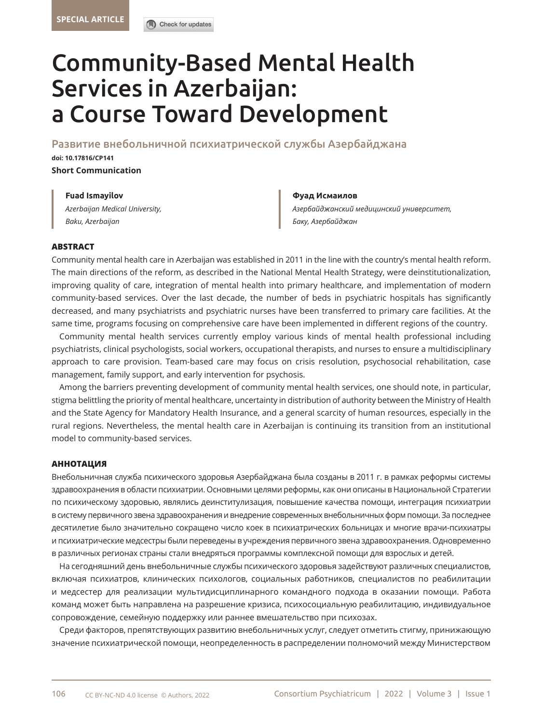

# Community-Based Mental Health Services in Azerbaijan: a Course Toward Development

Развитие внебольничной психиатрической службы Азербайджана

**doi[: 10.17816/CP141](DOI: https://doi.org/10.17816/CP99 ) Short Communication** 

> **Fuad Ismayilov Фуад Исмаилов** *Azerbaijan Medical University, Baku, Azerbaijan*

*Азербайджанский медицинский университет, Баку, Азербайджан*

# **ABSTRACT**

Community mental health care in Azerbaijan was established in 2011 in the line with the country's mental health reform. The main directions of the reform, as described in the National Mental Health Strategy, were deinstitutionalization, improving quality of care, integration of mental health into primary healthcare, and implementation of modern community-based services. Over the last decade, the number of beds in psychiatric hospitals has significantly decreased, and many psychiatrists and psychiatric nurses have been transferred to primary care facilities. At the same time, programs focusing on comprehensive care have been implemented in different regions of the country.

Community mental health services currently employ various kinds of mental health professional including psychiatrists, clinical psychologists, social workers, occupational therapists, and nurses to ensure a multidisciplinary approach to care provision. Team-based care may focus on crisis resolution, psychosocial rehabilitation, case management, family support, and early intervention for psychosis.

Among the barriers preventing development of community mental health services, one should note, in particular, stigma belittling the priority of mental healthcare, uncertainty in distribution of authority between the Ministry of Health and the State Agency for Mandatory Health Insurance, and a general scarcity of human resources, especially in the rural regions. Nevertheless, the mental health care in Azerbaijan is continuing its transition from an institutional model to community-based services.

# **АННОТАЦИЯ**

Внебольничная служба психического здоровья Азербайджана была созданы в 2011 г. в рамках реформы системы здравоохранения в области психиатрии. Основными целями реформы, как они описаны в Национальной Стратегии по психическому здоровью, являлись деинститулизация, повышение качества помощи, интеграция психиатрии в систему первичного звена здравоохранения и внедрение современных внебольничных форм помощи. За последнее десятилетие было значительно сокращено число коек в психиатрических больницах и многие врачи-психиатры и психиатрические медсестры были переведены в учреждения первичного звена здравоохранения. Одновременно в различных регионах страны стали внедряться программы комплексной помощи для взрослых и детей.

На сегодняшний день внебольничные службы психического здоровья задействуют различных специалистов, включая психиатров, клинических психологов, социальных работников, специалистов по реабилитации и медсестер для реализации мультидисциплинарного командного подхода в оказании помощи. Работа команд может быть направлена на разрешение кризиса, психосоциальную реабилитацию, индивидуальное сопровождение, семейную поддержку или раннее вмешательство при психозах.

Среди факторов, препятствующих развитию внебольничных услуг, следует отметить стигму, принижающую значение психиатрической помощи, неопределенность в распределении полномочий между Министерством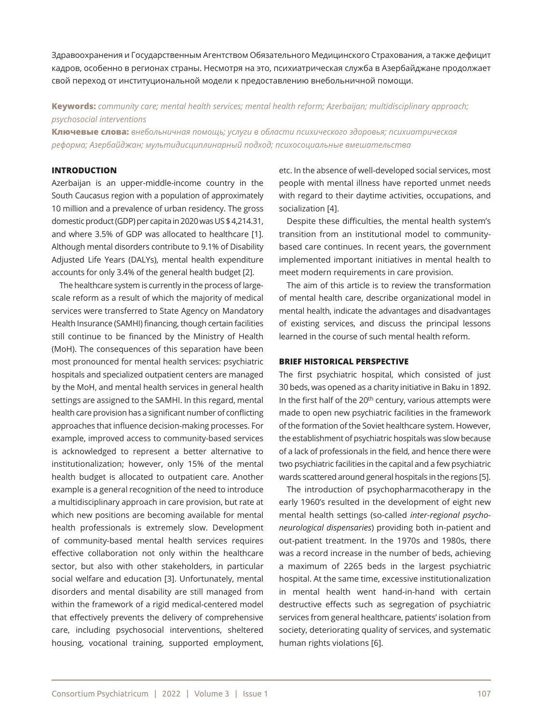Здравоохранения и Государственным Агентством Обязательного Медицинского Страхования, а также дефицит кадров, особенно в регионах страны. Несмотря на это, психиатрическая служба в Азербайджане продолжает свой переход от институциональной модели к предоставлению внебольничной помощи.

**Keywords:** *community care; mental health services; mental health reform; Azerbaijan; multidisciplinary approach; psychosocial interventions*

**Ключевые слова:** *внебольничная помощь; услуги в области психического здоровья; психиатрическая реформа; Азербайджан; мультидисциплинарный подход; психосоциальные вмешательства*

# **INTRODUCTION**

Azerbaijan is an upper-middle-income country in the South Caucasus region with a population of approximately 10 million and a prevalence of urban residency. The gross domestic product (GDP) per capita in 2020 was US \$ 4,214.31, and where 3.5% of GDP was allocated to healthcare [1]. Although mental disorders contribute to 9.1% of Disability Adjusted Life Years (DALYs), mental health expenditure accounts for only 3.4% of the general health budget [2].

The healthcare system is currently in the process of largescale reform as a result of which the majority of medical services were transferred to State Agency on Mandatory Health Insurance (SAMHI) financing, though certain facilities still continue to be financed by the Ministry of Health (MoH). The consequences of this separation have been most pronounced for mental health services: psychiatric hospitals and specialized outpatient centers are managed by the MoH, and mental health services in general health settings are assigned to the SAMHI. In this regard, mental health care provision has a significant number of conflicting approaches that influence decision-making processes. For example, improved access to community-based services is acknowledged to represent a better alternative to institutionalization; however, only 15% of the mental health budget is allocated to outpatient care. Another example is a general recognition of the need to introduce a multidisciplinary approach in care provision, but rate at which new positions are becoming available for mental health professionals is extremely slow. Development of community-based mental health services requires effective collaboration not only within the healthcare sector, but also with other stakeholders, in particular social welfare and education [3]. Unfortunately, mental disorders and mental disability are still managed from within the framework of a rigid medical-centered model that effectively prevents the delivery of comprehensive care, including psychosocial interventions, sheltered housing, vocational training, supported employment, etc. In the absence of well-developed social services, most people with mental illness have reported unmet needs with regard to their daytime activities, occupations, and socialization [4].

Despite these difficulties, the mental health system's transition from an institutional model to communitybased care continues. In recent years, the government implemented important initiatives in mental health to meet modern requirements in care provision.

The aim of this article is to review the transformation of mental health care, describe organizational model in mental health, indicate the advantages and disadvantages of existing services, and discuss the principal lessons learned in the course of such mental health reform.

#### **BRIEF HISTORICAL PERSPECTIVE**

The first psychiatric hospital, which consisted of just 30 beds, was opened as a charity initiative in Baku in 1892. In the first half of the 20<sup>th</sup> century, various attempts were made to open new psychiatric facilities in the framework of the formation of the Soviet healthcare system. However, the establishment of psychiatric hospitals was slow because of a lack of professionals in the field, and hence there were two psychiatric facilities in the capital and a few psychiatric wards scattered around general hospitals in the regions [5].

The introduction of psychopharmacotherapy in the early 1960's resulted in the development of eight new mental health settings (so-called *inter-regional psychoneurological dispensaries*) providing both in-patient and out-patient treatment. In the 1970s and 1980s, there was a record increase in the number of beds, achieving a maximum of 2265 beds in the largest psychiatric hospital. At the same time, excessive institutionalization in mental health went hand-in-hand with certain destructive effects such as segregation of psychiatric services from general healthcare, patients' isolation from society, deteriorating quality of services, and systematic human rights violations [6].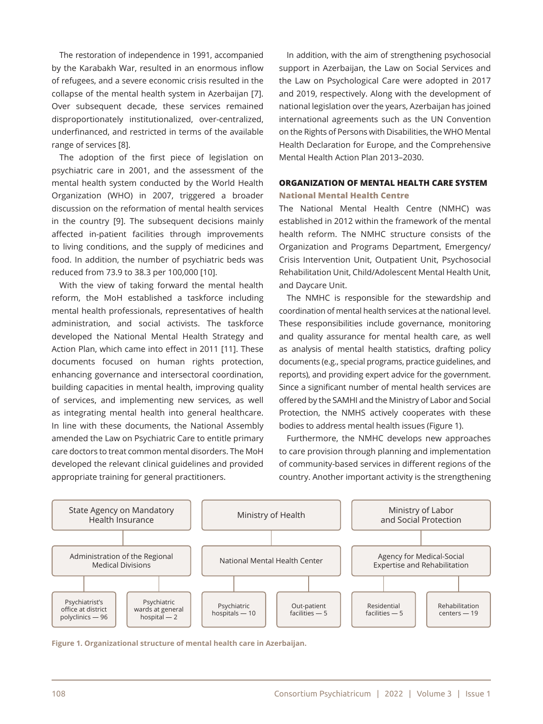The restoration of independence in 1991, accompanied by the Karabakh War, resulted in an enormous inflow of refugees, and a severe economic crisis resulted in the collapse of the mental health system in Azerbaijan [7]. Over subsequent decade, these services remained disproportionately institutionalized, over-centralized, underfinanced, and restricted in terms of the available range of services [8].

The adoption of the first piece of legislation on psychiatric care in 2001, and the assessment of the mental health system conducted by the World Health Organization (WHO) in 2007, triggered a broader discussion on the reformation of mental health services in the country [9]. The subsequent decisions mainly affected in-patient facilities through improvements to living conditions, and the supply of medicines and food. In addition, the number of psychiatric beds was reduced from 73.9 to 38.3 per 100,000 [10].

With the view of taking forward the mental health reform, the MoH established a taskforce including mental health professionals, representatives of health administration, and social activists. The taskforce developed the National Mental Health Strategy and Action Plan, which came into effect in 2011 [11]. These documents focused on human rights protection, enhancing governance and intersectoral coordination, building capacities in mental health, improving quality of services, and implementing new services, as well as integrating mental health into general healthcare. In line with these documents, the National Assembly amended the Law on Psychiatric Care to entitle primary care doctors to treat common mental disorders. The MoH developed the relevant clinical guidelines and provided appropriate training for general practitioners.

In addition, with the aim of strengthening psychosocial support in Azerbaijan, the Law on Social Services and the Law on Psychological Care were adopted in 2017 and 2019, respectively. Along with the development of national legislation over the years, Azerbaijan has joined international agreements such as the UN Convention on the Rights of Persons with Disabilities, the WHO Mental Health Declaration for Europe, and the Comprehensive Mental Health Action Plan 2013–2030.

# **ORGANIZATION OF MENTAL HEALTH CARE SYSTEM National Mental Health Centre**

The National Mental Health Centre (NMHC) was established in 2012 within the framework of the mental health reform. The NMHC structure consists of the Organization and Programs Department, Emergency/ Crisis Intervention Unit, Outpatient Unit, Psychosocial Rehabilitation Unit, Child/Adolescent Mental Health Unit, and Daycare Unit.

The NMHC is responsible for the stewardship and coordination of mental health services at the national level. These responsibilities include governance, monitoring and quality assurance for mental health care, as well as analysis of mental health statistics, drafting policy documents (e.g., special programs, practice guidelines, and reports), and providing expert advice for the government. Since a significant number of mental health services are offered by the SAMHI and the Ministry of Labor and Social Protection, the NMHS actively cooperates with these bodies to address mental health issues (Figure 1).

Furthermore, the NMHC develops new approaches to care provision through planning and implementation of community-based services in different regions of the country. Another important activity is the strengthening



**Figure 1. Organizational structure of mental health care in Azerbaijan.**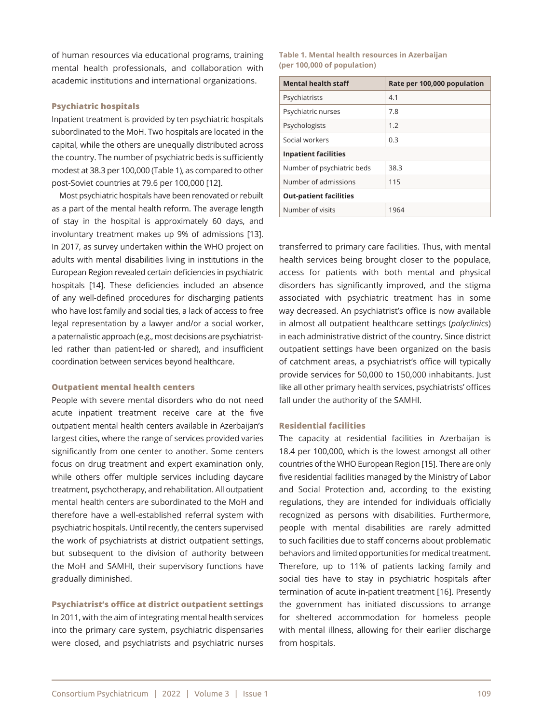of human resources via educational programs, training mental health professionals, and collaboration with academic institutions and international organizations.

#### **Psychiatric hospitals**

Inpatient treatment is provided by ten psychiatric hospitals subordinated to the MoH. Two hospitals are located in the capital, while the others are unequally distributed across the country. The number of psychiatric beds is sufficiently modest at 38.3 per 100,000 (Table 1), as compared to other post-Soviet countries at 79.6 per 100,000 [12].

Most psychiatric hospitals have been renovated or rebuilt as a part of the mental health reform. The average length of stay in the hospital is approximately 60 days, and involuntary treatment makes up 9% of admissions [13]. In 2017, as survey undertaken within the WHO project on adults with mental disabilities living in institutions in the European Region revealed certain deficiencies in psychiatric hospitals [14]. These deficiencies included an absence of any well-defined procedures for discharging patients who have lost family and social ties, a lack of access to free legal representation by a lawyer and/or a social worker, a paternalistic approach (e.g., most decisions are psychiatristled rather than patient-led or shared), and insufficient coordination between services beyond healthcare.

#### **Outpatient mental health centers**

People with severe mental disorders who do not need acute inpatient treatment receive care at the five outpatient mental health centers available in Azerbaijan's largest cities, where the range of services provided varies significantly from one center to another. Some centers focus on drug treatment and expert examination only, while others offer multiple services including daycare treatment, psychotherapy, and rehabilitation. All outpatient mental health centers are subordinated to the MoH and therefore have a well-established referral system with psychiatric hospitals. Until recently, the centers supervised the work of psychiatrists at district outpatient settings, but subsequent to the division of authority between the MoH and SAMHI, their supervisory functions have gradually diminished.

# **Psychiatrist's office at district outpatient settings**

In 2011, with the aim of integrating mental health services into the primary care system, psychiatric dispensaries were closed, and psychiatrists and psychiatric nurses

#### **Table 1. Mental health resources in Azerbaijan (per 100,000 of population)**

| <b>Mental health staff</b>    | Rate per 100,000 population |
|-------------------------------|-----------------------------|
| Psychiatrists                 | 4.1                         |
| Psychiatric nurses            | 7.8                         |
| Psychologists                 | 1.2                         |
| Social workers                | 0.3                         |
| <b>Inpatient facilities</b>   |                             |
| Number of psychiatric beds    | 38.3                        |
| Number of admissions          | 115                         |
| <b>Out-patient facilities</b> |                             |
| Number of visits              | 1964                        |

transferred to primary care facilities. Thus, with mental health services being brought closer to the populace, access for patients with both mental and physical disorders has significantly improved, and the stigma associated with psychiatric treatment has in some way decreased. An psychiatrist's office is now available in almost all outpatient healthcare settings (*polyclinics*) in each administrative district of the country. Since district outpatient settings have been organized on the basis of catchment areas, a psychiatrist's office will typically provide services for 50,000 to 150,000 inhabitants. Just like all other primary health services, psychiatrists' offices fall under the authority of the SAMHI.

#### **Residential facilities**

The capacity at residential facilities in Azerbaijan is 18.4 per 100,000, which is the lowest amongst all other countries of the WHO European Region [15]. There are only five residential facilities managed by the Ministry of Labor and Social Protection and, according to the existing regulations, they are intended for individuals officially recognized as persons with disabilities. Furthermore, people with mental disabilities are rarely admitted to such facilities due to staff concerns about problematic behaviors and limited opportunities for medical treatment. Therefore, up to 11% of patients lacking family and social ties have to stay in psychiatric hospitals after termination of acute in-patient treatment [16]. Presently the government has initiated discussions to arrange for sheltered accommodation for homeless people with mental illness, allowing for their earlier discharge from hospitals.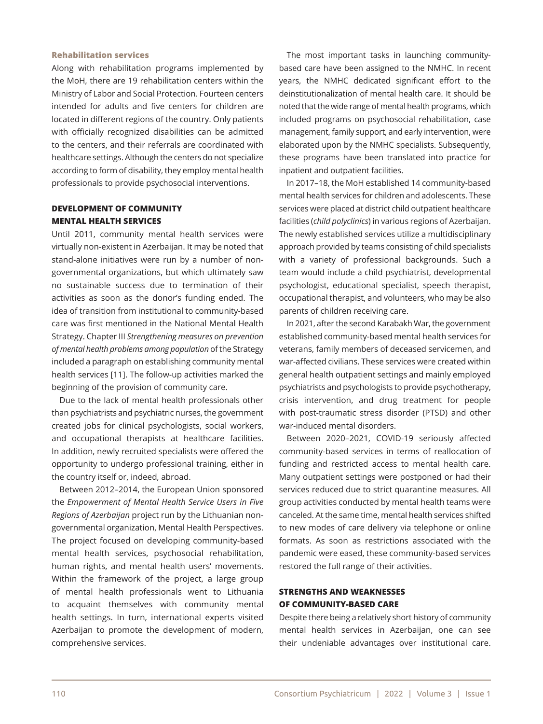#### **Rehabilitation services**

Along with rehabilitation programs implemented by the MoH, there are 19 rehabilitation centers within the Ministry of Labor and Social Protection. Fourteen centers intended for adults and five centers for children are located in different regions of the country. Only patients with officially recognized disabilities can be admitted to the centers, and their referrals are coordinated with healthcare settings. Although the centers do not specialize according to form of disability, they employ mental health professionals to provide psychosocial interventions.

# **DEVELOPMENT OF COMMUNITY MENTAL HEALTH SERVICES**

Until 2011, community mental health services were virtually non-existent in Azerbaijan. It may be noted that stand-alone initiatives were run by a number of nongovernmental organizations, but which ultimately saw no sustainable success due to termination of their activities as soon as the donor's funding ended. The idea of transition from institutional to community-based care was first mentioned in the National Mental Health Strategy. Chapter III *Strengthening measures on prevention of mental health problems among population* of the Strategy included a paragraph on establishing community mental health services [11]. The follow-up activities marked the beginning of the provision of community care.

Due to the lack of mental health professionals other than psychiatrists and psychiatric nurses, the government created jobs for clinical psychologists, social workers, and occupational therapists at healthcare facilities. In addition, newly recruited specialists were offered the opportunity to undergo professional training, either in the country itself or, indeed, abroad.

Between 2012–2014, the European Union sponsored the *Empowerment of Mental Health Service Users in Five Regions of Azerbaijan* project run by the Lithuanian nongovernmental organization, Mental Health Perspectives. The project focused on developing community-based mental health services, psychosocial rehabilitation, human rights, and mental health users' movements. Within the framework of the project, a large group of mental health professionals went to Lithuania to acquaint themselves with community mental health settings. In turn, international experts visited Azerbaijan to promote the development of modern, comprehensive services.

The most important tasks in launching communitybased care have been assigned to the NMHC. In recent years, the NMHC dedicated significant effort to the deinstitutionalization of mental health care. It should be noted that the wide range of mental health programs, which included programs on psychosocial rehabilitation, case management, family support, and early intervention, were elaborated upon by the NMHC specialists. Subsequently, these programs have been translated into practice for inpatient and outpatient facilities.

In 2017–18, the MoH established 14 community-based mental health services for children and adolescents. These services were placed at district child outpatient healthcare facilities (*child polyclinics*) in various regions of Azerbaijan. The newly established services utilize a multidisciplinary approach provided by teams consisting of child specialists with a variety of professional backgrounds. Such a team would include a child psychiatrist, developmental psychologist, educational specialist, speech therapist, occupational therapist, and volunteers, who may be also parents of children receiving care.

In 2021, after the second Karabakh War, the government established community-based mental health services for veterans, family members of deceased servicemen, and war-affected civilians. These services were created within general health outpatient settings and mainly employed psychiatrists and psychologists to provide psychotherapy, crisis intervention, and drug treatment for people with post-traumatic stress disorder (PTSD) and other war-induced mental disorders.

Between 2020–2021, COVID-19 seriously affected community-based services in terms of reallocation of funding and restricted access to mental health care. Many outpatient settings were postponed or had their services reduced due to strict quarantine measures. All group activities conducted by mental health teams were canceled. At the same time, mental health services shifted to new modes of care delivery via telephone or online formats. As soon as restrictions associated with the pandemic were eased, these community-based services restored the full range of their activities.

# **STRENGTHS AND WEAKNESSES OF COMMUNITY-BASED CARE**

Despite there being a relatively short history of community mental health services in Azerbaijan, one can see their undeniable advantages over institutional care.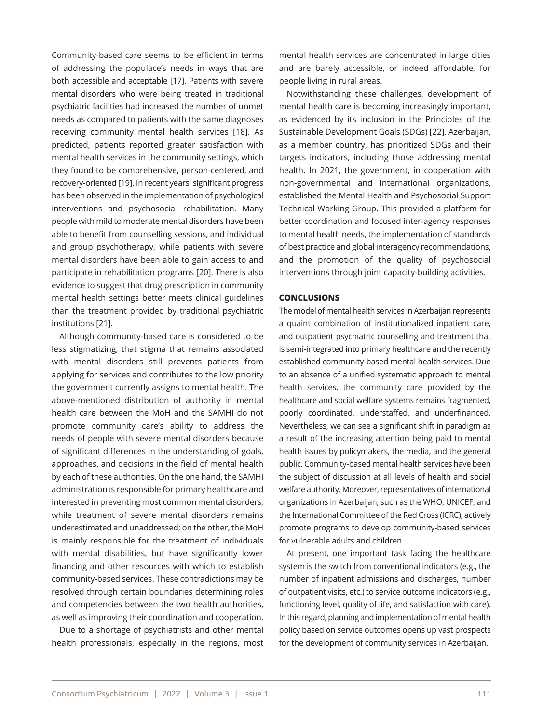Community-based care seems to be efficient in terms of addressing the populace's needs in ways that are both accessible and acceptable [17]. Patients with severe mental disorders who were being treated in traditional psychiatric facilities had increased the number of unmet needs as compared to patients with the same diagnoses receiving community mental health services [18]. As predicted, patients reported greater satisfaction with mental health services in the community settings, which they found to be comprehensive, person-centered, and recovery-oriented [19]. In recent years, significant progress has been observed in the implementation of psychological interventions and psychosocial rehabilitation. Many people with mild to moderate mental disorders have been able to benefit from counselling sessions, and individual and group psychotherapy, while patients with severe mental disorders have been able to gain access to and participate in rehabilitation programs [20]. There is also evidence to suggest that drug prescription in community mental health settings better meets clinical guidelines than the treatment provided by traditional psychiatric institutions [21].

Although community-based care is considered to be less stigmatizing, that stigma that remains associated with mental disorders still prevents patients from applying for services and contributes to the low priority the government currently assigns to mental health. The above-mentioned distribution of authority in mental health care between the MoH and the SAMHI do not promote community care's ability to address the needs of people with severe mental disorders because of significant differences in the understanding of goals, approaches, and decisions in the field of mental health by each of these authorities. On the one hand, the SAMHI administration is responsible for primary healthcare and interested in preventing most common mental disorders, while treatment of severe mental disorders remains underestimated and unaddressed; on the other, the MoH is mainly responsible for the treatment of individuals with mental disabilities, but have significantly lower financing and other resources with which to establish community-based services. These contradictions may be resolved through certain boundaries determining roles and competencies between the two health authorities, as well as improving their coordination and cooperation.

Due to a shortage of psychiatrists and other mental health professionals, especially in the regions, most

mental health services are concentrated in large cities and are barely accessible, or indeed affordable, for people living in rural areas.

Notwithstanding these challenges, development of mental health care is becoming increasingly important, as evidenced by its inclusion in the Principles of the Sustainable Development Goals (SDGs) [22]. Azerbaijan, as a member country, has prioritized SDGs and their targets indicators, including those addressing mental health. In 2021, the government, in cooperation with non-governmental and international organizations, established the Mental Health and Psychosocial Support Technical Working Group. This provided a platform for better coordination and focused inter-agency responses to mental health needs, the implementation of standards of best practice and global interagency recommendations, and the promotion of the quality of psychosocial interventions through joint capacity-building activities.

#### **CONCLUSIONS**

The model of mental health services in Azerbaijan represents a quaint combination of institutionalized inpatient care, and outpatient psychiatric counselling and treatment that is semi-integrated into primary healthcare and the recently established community-based mental health services. Due to an absence of a unified systematic approach to mental health services, the community care provided by the healthcare and social welfare systems remains fragmented, poorly coordinated, understaffed, and underfinanced. Nevertheless, we can see a significant shift in paradigm as a result of the increasing attention being paid to mental health issues by policymakers, the media, and the general public. Community-based mental health services have been the subject of discussion at all levels of health and social welfare authority. Moreover, representatives of international organizations in Azerbaijan, such as the WHO, UNICEF, and the International Committee of the Red Cross (ICRC), actively promote programs to develop community-based services for vulnerable adults and children.

At present, one important task facing the healthcare system is the switch from conventional indicators (e.g., the number of inpatient admissions and discharges, number of outpatient visits, etc.) to service outcome indicators (e.g., functioning level, quality of life, and satisfaction with care). In this regard, planning and implementation of mental health policy based on service outcomes opens up vast prospects for the development of community services in Azerbaijan.